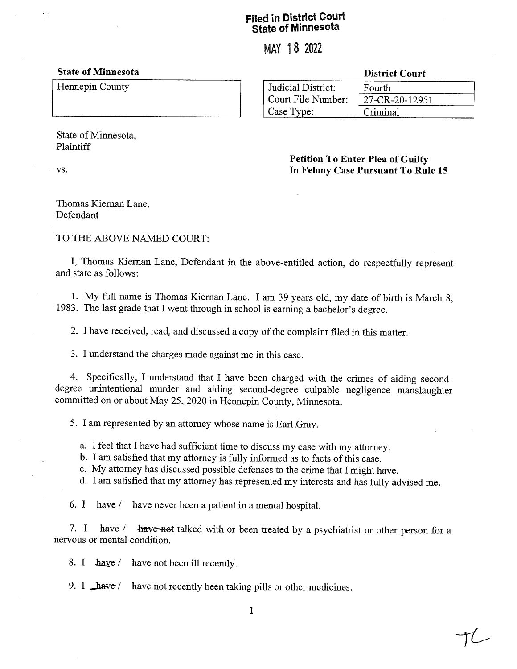# Filéd in District Court State of Minnesota

MAY 18 2022

## State of Minnesota **District Court** Hennepin County<br>
Undicial District: Fourth<br>
Court File Number: 27-CR-20-12951 Court File Number: Case Type: Criminal

State of Minnesota, Plaintiff

### Petition To Enter Plea of Guilty VS. In Felony Case Pursuant To Rule <sup>15</sup>

#### Thomas Kiernan Lane, Defendant

#### TO THE ABOVE NAMED COURT:

I, Thomas Kiernan Lane, Defendant in the above-entitled action, do respectfully represent and state as follows:

1. My full name is Thomas Kiernan Lane. I am 39 years old, my date of birth is March 8, 1983. The last grade that I went through in school is earning a bachelor's degree.

2. I have received, read, and discussed a copy of the complaint filed in this matter.

3. understand the charges made against me in this case.

4. Specifically, I understand that I have been charged with the crimes of aiding seconddegree unintentional murder and aiding second-degree culpable negligence manslaughter committed on or about May 25, 2020 in Hennepin County, Minnesota.

5. I am represented by an attorney whose name is Earl Gray.

a. I feel that I have had sufficient time to discuss my case with my attorney.<br>b. I am satisfied that my attorney is fully informed as to facts of this case.<br>c. My attorney has discussed possible defenses to the crime that

6. I have  $/$  have never been a patient in a mental hospital.

7. I have  $\ell$  have not talked with or been treated by a psychiatrist or other person for a nervous or mental condition.

8. I have have not been ill recently.

9. I  $\Delta w e$  have not recently been taking pills or other medicines.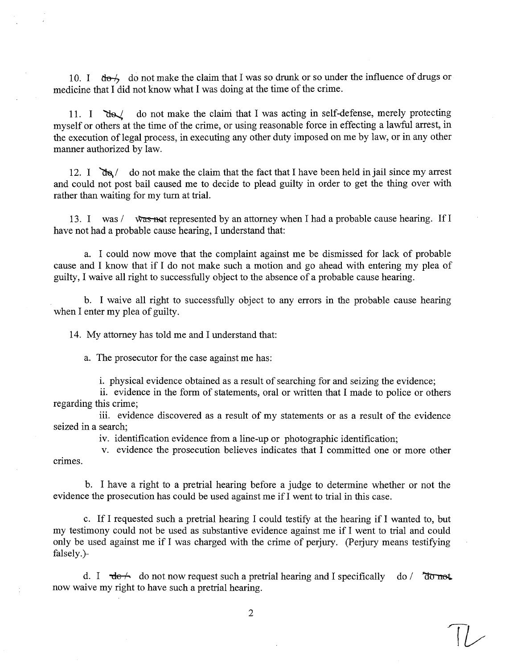10. I do  $\rightarrow$  do not make the claim that I was so drunk or so under the influence of drugs or medicine that I did not know what I was doing at the time of the crime.

11. I do not make the claim that I was acting in self-defense, merely protecting myself or others at the time of the crime, or using reasonable force in effecting a lawful arrest, in the execution of legal process, in executing any other duty imposed on me by law, or in any other manner authorized by law.

12. I  $\frac{d}{d\alpha}$  do not make the claim that the fact that I have been held in jail since my arrest and could not post bail caused me to decide to plead guilty in order to get the thing over with rather than waiting for my turn at trial.

13. I was  $\ell$  was not represented by an attorney when I had a probable cause hearing. If I have not had a probable cause hearing, I understand that:

a. I could now move that the complaint against me be dismissed for lack of probable cause and I know that if I do not make such a motion and go ahead with entering my plea of guilty, I waive all right to successfully object to the absence of a probable cause hearing.

b. I waive all right to successfully object to any errors in the probable cause hearing when I enter my plea of guilty.

14. My attorney has told me and I understand that:

a. The prosecutor for the case against me has:

i. physical evidence obtained as a result of searching for and seizing the evidence;

ii. evidence in the form of statements, oral or written that I made to police or others regarding this crime;

iii. evidence discovered as a result of my statements or as a result of the evidence seized in a search;

iv. identification evidence from a line-up or photographic identification;

v. evidence the prosecution believes indicates that I committed one or more other crimes.

b. I have a right to a pretrial hearing before a judge to determine whether or not the evidence the prosecution has could be used against me if I went to trial in this case.

c. If I requested such a pretrial hearing I could testify at the hearing if I wanted to, but my testimony could not be used as substantive evidence against me if I went to trial and could only be used against me if I was charged with the crime of perjury. (Perjury means testifying falsely.)—

d. I  $\vec{r}$  do not now request such a pretrial hearing and I specifically do /  $\vec{a}$ now waive my right to have such a pretrial hearing.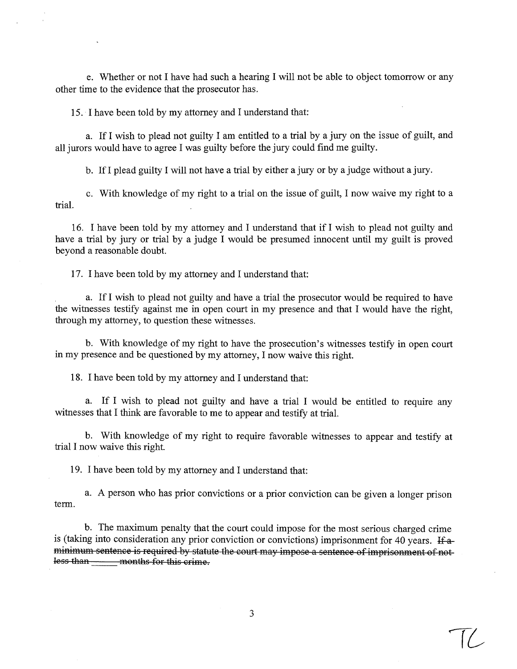e. Whether or not I have had such a hearing I will not be able to object tomorrow or any other time to the evidence that the prosecutor has.

15. I have been told by my attorney and I understand that:

a. If I wish to plead not guilty I am entitled to a trial by a jury on the issue of guilt, and all jurors would have to agree I was guilty before the jury could find me guilty.

b. If I plead guilty I will not have a trial by either a jury or by a judge without a jury.

c. With knowledge of my right to a trial on the issue of guilt, I now waive my right to a trial.

16. I have been told by my attorney and I understand that if I wish to plead not guilty and have a trial by jury or trial by a judge I would be presumed innocent until my guilt is proved beyond a reasonable doubt.

17. I have been told by my attorney and I understand that:

a. If I wish to plead not guilty and have a trial the prosecutor would be required to have the witnesses testify against me in open court in my presence and that I would have the right, through my attorney, to question these witnesses.

b. With knowledge of my right to have the prosecution's witnesses testify in open court in my presence and be questioned by my attorney. I now waive this right.

18. I have been told by my attorney and I understand that:

a. If I wish to plead not guilty and have a trial I would be entitled to require any witnesses that I think are favorable to me to appear and testify at trial.

b. With knowledge of my right to require favorable witnesses to appear and testify at trial now waive this right.

19. I have been told by my attorney and I understand that:

a. A person who has prior convictions or a prior conviction can be given a longer prison term.

b. The maximum penalty that the court could impose for the most serious charged crime is (taking into consideration any prior conviction or convictions) imprisonment for 40 years. If a ice is required by statute the court may impose a sentence of imprisonmen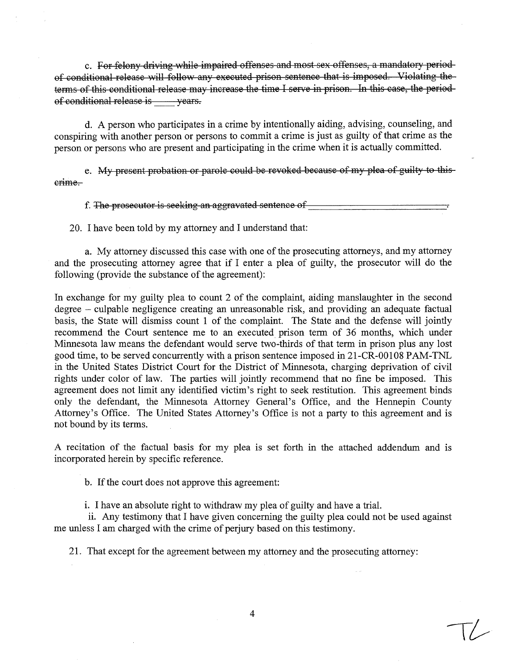c. For felony driving while impaired offenses and most sex offenses, a mandatory periodof conditional release will follow any executed prison sentence that is imposed. Violating theterms of this conditional release may increase the time I serve in prison. In this case, the periodof conditional release is \_\_\_\_\_ years.

d. A person who participates in a crime by intentionally aiding, advising, counseling, and conspiring with another person or persons to commit a crime is just as guilty of that crime as the person or persons who are present and participating in the crime when it is actually committed.

e. My present probation or parole could be revoked because of my plea of guilty to thiserime.

f. The prosecutor is seeking an aggravated sentence of

20. I have been told by my attorney and I understand that:

a. My attorney discussed this case with one of the prosecuting attorneys, and my attorney and the prosecuting attorney agree that if I enter a plea of guilty, the prosecutor will do the following (provide the substance of the agreement):

In exchange for my guilty plea to count 2 of the complaint, aiding manslaughter in the second degree – culpable negligence creating an unreasonable risk, and providing an adequate factual basis, the State will dismiss count 1 of the complaint. The State and the defense will jointly recommend the Court sentence me to an executed prison term of <sup>36</sup> months, which under Minnesota law means the defendant would serve two-thirds of that term in prison plus any lost good time, to be served concurrently with a prison sentence imposed in 21-CR-00108 PAM-TNL in the United States District Court for the District of Minnesota, charging deprivation of civil rights under color of law. The parties will jointly recommend that no fine be imposed. This agreement does not limit any identified victim's right to seek restitution. This agreement binds only the defendant, the Minnesota Attorney General's Office, and the Hennepin County Attorney's Office. The United States Attorney's Office is not a party to this agreement and is not bound by its terms.

A recitation of the factual basis for my plea is set forth in the attached addendum and is incorporated herein by specific reference.

b. If the court does not approve this agreement:

i. I have an absolute right to withdraw my plea of guilty and have a trial.

ii. Any testimony that I have given concerning the guilty plea could not be used against me unless I am charged with the crime of perjury based on this testimony.

21. That except for the agreement between my attorney and the prosecuting attorney:

 $T$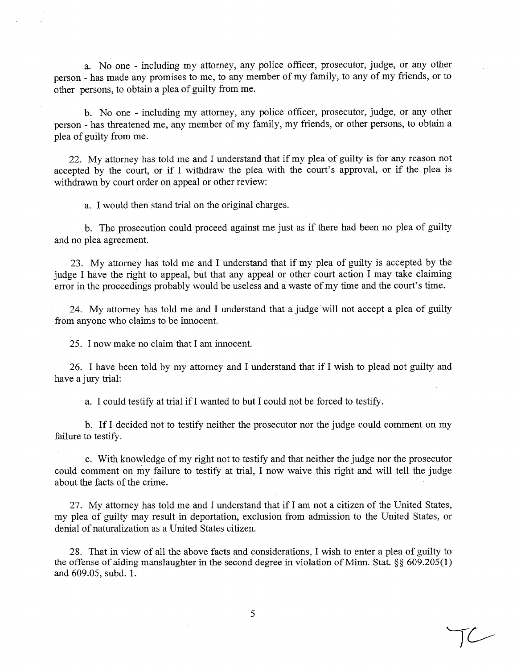a. No one - including my attorney, any police officer, prosecutor, judge, or any other person has made any promises to me, to any member of my family, to any of my friends, or to other persons, to obtain a plea of guilty from me.

b. No one - including my attorney, any police officer, prosecutor, judge, or any other person - has threatened me, any member of my family, my friends, or other persons, to obtain a plea of guilty from me.

22. My attorney has told me and understand that if my plea of guilty is for any reason not accepted by the court, or if I withdraw the plea with the court's approval, or if the plea is withdrawn by court order on appeal or other review:

a. I would then stand trial on the original charges.

b. The prosecution could proceed against me just as if there had been no plea of guilty and no plea agreement.

23. My attorney has told me and I understand that if my plea of guilty is accepted by the judge I have the right to appeal, but that any appeal or other court action I may take claiming error in the proceedings probably would be useless and a waste of my time and the court's time.

24. My attorney has told me and I understand that a judge will not accept a plea of guilty from anyone who claims to be innocent.

25. I now make no claim that I am innocent.

26. I have been told by my attorney and I understand that if I wish to plead not guilty and have a jury trial:

a. I could testify at trial if I wanted to but I could not be forced to testify.

b. If decided not to testify neither the prosecutor nor the judge could comment on my failure to testify.

c. With knowledge of my right not to testify and that neither the judge nor the prosecutor could comment on my failure to testify at trial, now waive this right and will tell the judge about the facts of the crime.

27. My attorney has told me and I understand that if I am not a citizen of the United States, my plea of guilty may result in deportation, exclusion from admission to the United States, or denial of naturalization as a United States citizen.

28. That in view of all the above facts and considerations, I wish to enter a plea of guilty to the offense of aiding manslaughter in the second degree in violation of Minn. Stat. §§ 609.205(1) and 609.05, subd. 1.

5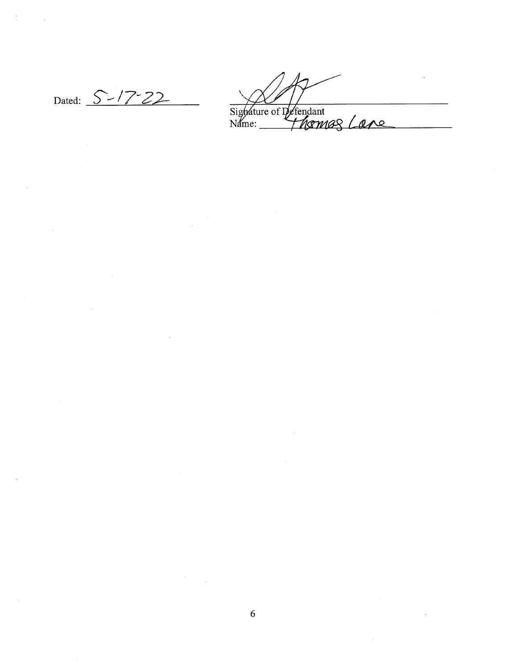Dated:  $S - 17 - 22$ 

 $\sim$ 

 $\frac{1}{2}$ 

 $\bar{\mathcal{A}}$ 

Sigh⁄ature of Defendant me: Thomas

 $\sim$ 

 $\hat{\mathcal{A}}$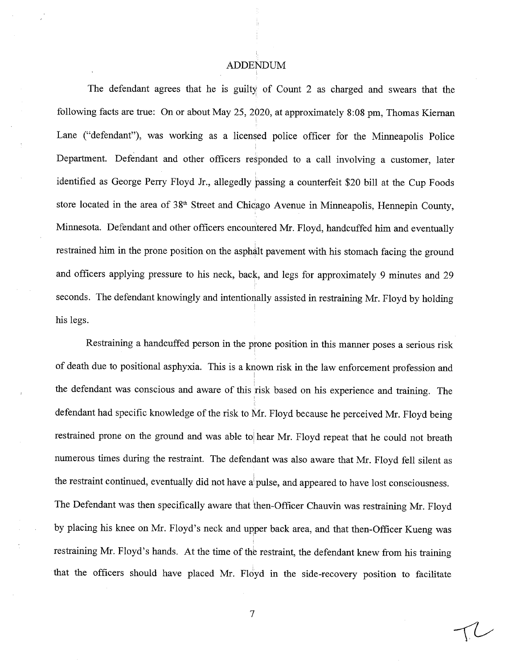#### ADDENDUM

The defendant agrees that he is guilty of Count 2 as charged and swears that the following facts are true: On or about May 25, 2920, at approximately 8:08 pm, Thomas Kiernan Lane ("defendant"), was working as a licensed police officer for the Minneapolis Police Department. Defendant and other officers responded to a call involving a customer, later identified as George Perry Floyd Jr., allegedly passing a counterfeit \$20 bill at the Cup Foods store located in the area of  $38<sup>th</sup>$  Street and Chicago Avenue in Minneapolis, Hennepin County, Minnesota. Defendant and other officers encountered Mr. Floyd, handcuffed him and eventually restrained him in the prone position on the asphalt pavement with his stomach facing the ground and officers applying pressure to his neck, back, and legs for approximately .9 minutes and <sup>29</sup> seconds. The defendant knowingly and intentionally assisted in restraining Mr. Floyd by holding his legs.

Restraining a handcuffed person in the prone position in this manner poses a serious risk of death due to positional asphyxia. This is a known risk in the law enforcement profession and the defendant was conscious and aware of this risk based on his experience and training. The defendant had specific knowledge of the risk to Mr. Floyd because he perceived Mr. Floyd being restrained prone on the ground and was able to hear Mr. Floyd repeat that he could not breath numerous times during the restraint. The defendant was also aware that Mr. Floyd fell silent as the restraint continued, eventually did not have a pulse, and appeared to have lost consciousness. The Defendant was then specifically aware that then-Officer Chauvin was restraining Mr. Floyd by placing his knee on Mr. Floyd's neck and upper back area, and that then-Officer Kueng was restraining Mr. Floyd's hands. At the time of the restraint, the defendant knew from his training that the officers should have placed Mr. Floyd in the side-recovery position to facilitate

てし